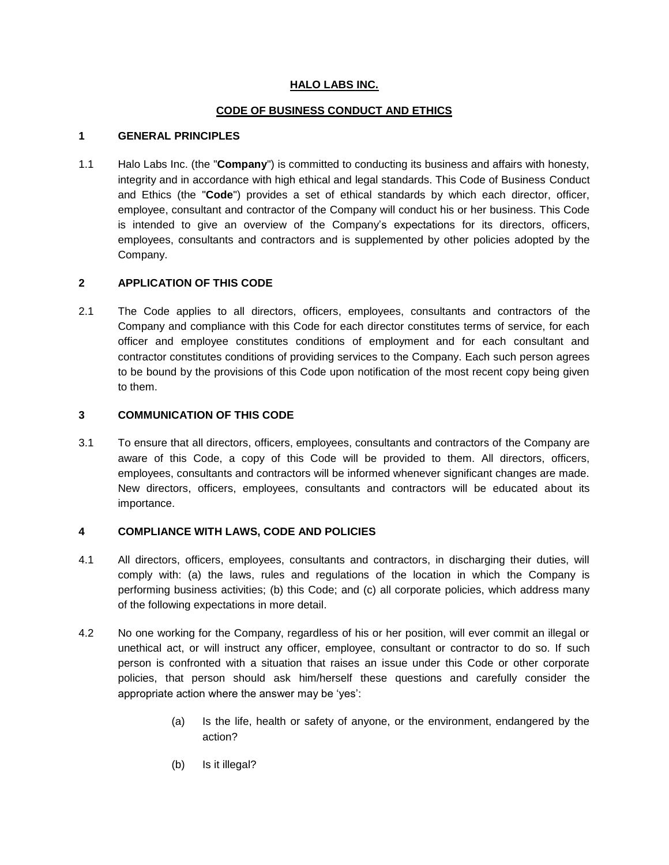## **HALO LABS INC.**

## **CODE OF BUSINESS CONDUCT AND ETHICS**

#### **1 GENERAL PRINCIPLES**

1.1 Halo Labs Inc. (the "**Company**") is committed to conducting its business and affairs with honesty, integrity and in accordance with high ethical and legal standards. This Code of Business Conduct and Ethics (the "**Code**") provides a set of ethical standards by which each director, officer, employee, consultant and contractor of the Company will conduct his or her business. This Code is intended to give an overview of the Company's expectations for its directors, officers, employees, consultants and contractors and is supplemented by other policies adopted by the Company.

# **2 APPLICATION OF THIS CODE**

2.1 The Code applies to all directors, officers, employees, consultants and contractors of the Company and compliance with this Code for each director constitutes terms of service, for each officer and employee constitutes conditions of employment and for each consultant and contractor constitutes conditions of providing services to the Company. Each such person agrees to be bound by the provisions of this Code upon notification of the most recent copy being given to them.

## **3 COMMUNICATION OF THIS CODE**

3.1 To ensure that all directors, officers, employees, consultants and contractors of the Company are aware of this Code, a copy of this Code will be provided to them. All directors, officers, employees, consultants and contractors will be informed whenever significant changes are made. New directors, officers, employees, consultants and contractors will be educated about its importance.

### **4 COMPLIANCE WITH LAWS, CODE AND POLICIES**

- 4.1 All directors, officers, employees, consultants and contractors, in discharging their duties, will comply with: (a) the laws, rules and regulations of the location in which the Company is performing business activities; (b) this Code; and (c) all corporate policies, which address many of the following expectations in more detail.
- 4.2 No one working for the Company, regardless of his or her position, will ever commit an illegal or unethical act, or will instruct any officer, employee, consultant or contractor to do so. If such person is confronted with a situation that raises an issue under this Code or other corporate policies, that person should ask him/herself these questions and carefully consider the appropriate action where the answer may be 'yes':
	- (a) Is the life, health or safety of anyone, or the environment, endangered by the action?
	- (b) Is it illegal?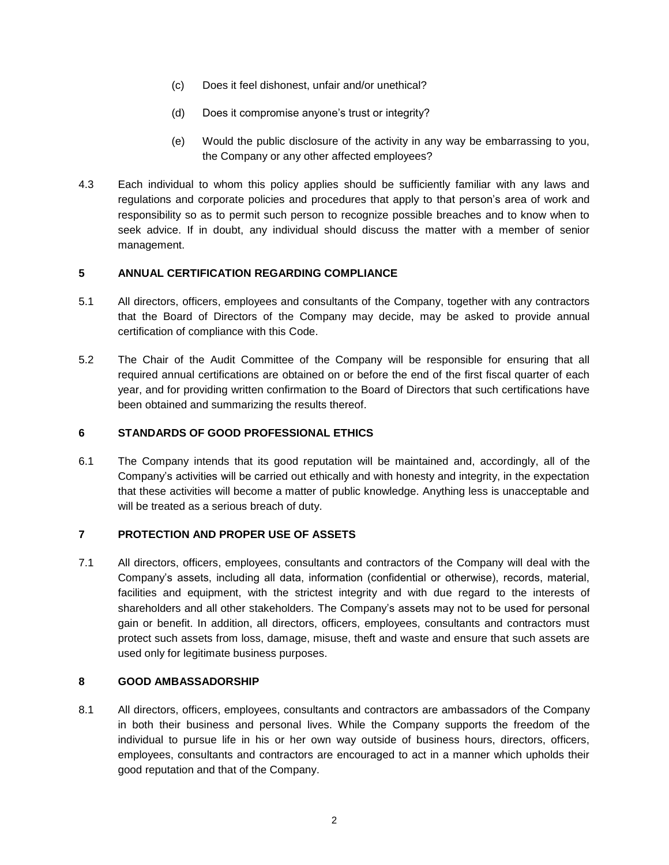- (c) Does it feel dishonest, unfair and/or unethical?
- (d) Does it compromise anyone's trust or integrity?
- (e) Would the public disclosure of the activity in any way be embarrassing to you, the Company or any other affected employees?
- 4.3 Each individual to whom this policy applies should be sufficiently familiar with any laws and regulations and corporate policies and procedures that apply to that person's area of work and responsibility so as to permit such person to recognize possible breaches and to know when to seek advice. If in doubt, any individual should discuss the matter with a member of senior management.

# **5 ANNUAL CERTIFICATION REGARDING COMPLIANCE**

- 5.1 All directors, officers, employees and consultants of the Company, together with any contractors that the Board of Directors of the Company may decide, may be asked to provide annual certification of compliance with this Code.
- 5.2 The Chair of the Audit Committee of the Company will be responsible for ensuring that all required annual certifications are obtained on or before the end of the first fiscal quarter of each year, and for providing written confirmation to the Board of Directors that such certifications have been obtained and summarizing the results thereof.

### **6 STANDARDS OF GOOD PROFESSIONAL ETHICS**

6.1 The Company intends that its good reputation will be maintained and, accordingly, all of the Company's activities will be carried out ethically and with honesty and integrity, in the expectation that these activities will become a matter of public knowledge. Anything less is unacceptable and will be treated as a serious breach of duty.

### **7 PROTECTION AND PROPER USE OF ASSETS**

7.1 All directors, officers, employees, consultants and contractors of the Company will deal with the Company's assets, including all data, information (confidential or otherwise), records, material, facilities and equipment, with the strictest integrity and with due regard to the interests of shareholders and all other stakeholders. The Company's assets may not to be used for personal gain or benefit. In addition, all directors, officers, employees, consultants and contractors must protect such assets from loss, damage, misuse, theft and waste and ensure that such assets are used only for legitimate business purposes.

### **8 GOOD AMBASSADORSHIP**

8.1 All directors, officers, employees, consultants and contractors are ambassadors of the Company in both their business and personal lives. While the Company supports the freedom of the individual to pursue life in his or her own way outside of business hours, directors, officers, employees, consultants and contractors are encouraged to act in a manner which upholds their good reputation and that of the Company.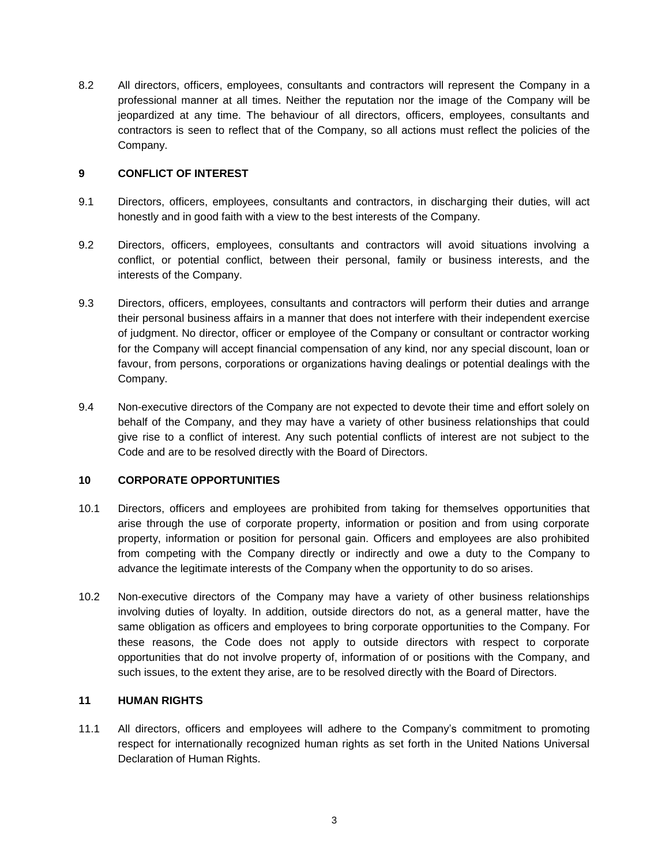8.2 All directors, officers, employees, consultants and contractors will represent the Company in a professional manner at all times. Neither the reputation nor the image of the Company will be jeopardized at any time. The behaviour of all directors, officers, employees, consultants and contractors is seen to reflect that of the Company, so all actions must reflect the policies of the Company.

### **9 CONFLICT OF INTEREST**

- 9.1 Directors, officers, employees, consultants and contractors, in discharging their duties, will act honestly and in good faith with a view to the best interests of the Company.
- 9.2 Directors, officers, employees, consultants and contractors will avoid situations involving a conflict, or potential conflict, between their personal, family or business interests, and the interests of the Company.
- 9.3 Directors, officers, employees, consultants and contractors will perform their duties and arrange their personal business affairs in a manner that does not interfere with their independent exercise of judgment. No director, officer or employee of the Company or consultant or contractor working for the Company will accept financial compensation of any kind, nor any special discount, loan or favour, from persons, corporations or organizations having dealings or potential dealings with the Company.
- 9.4 Non-executive directors of the Company are not expected to devote their time and effort solely on behalf of the Company, and they may have a variety of other business relationships that could give rise to a conflict of interest. Any such potential conflicts of interest are not subject to the Code and are to be resolved directly with the Board of Directors.

### **10 CORPORATE OPPORTUNITIES**

- 10.1 Directors, officers and employees are prohibited from taking for themselves opportunities that arise through the use of corporate property, information or position and from using corporate property, information or position for personal gain. Officers and employees are also prohibited from competing with the Company directly or indirectly and owe a duty to the Company to advance the legitimate interests of the Company when the opportunity to do so arises.
- 10.2 Non-executive directors of the Company may have a variety of other business relationships involving duties of loyalty. In addition, outside directors do not, as a general matter, have the same obligation as officers and employees to bring corporate opportunities to the Company. For these reasons, the Code does not apply to outside directors with respect to corporate opportunities that do not involve property of, information of or positions with the Company, and such issues, to the extent they arise, are to be resolved directly with the Board of Directors.

#### **11 HUMAN RIGHTS**

11.1 All directors, officers and employees will adhere to the Company's commitment to promoting respect for internationally recognized human rights as set forth in the United Nations Universal Declaration of Human Rights.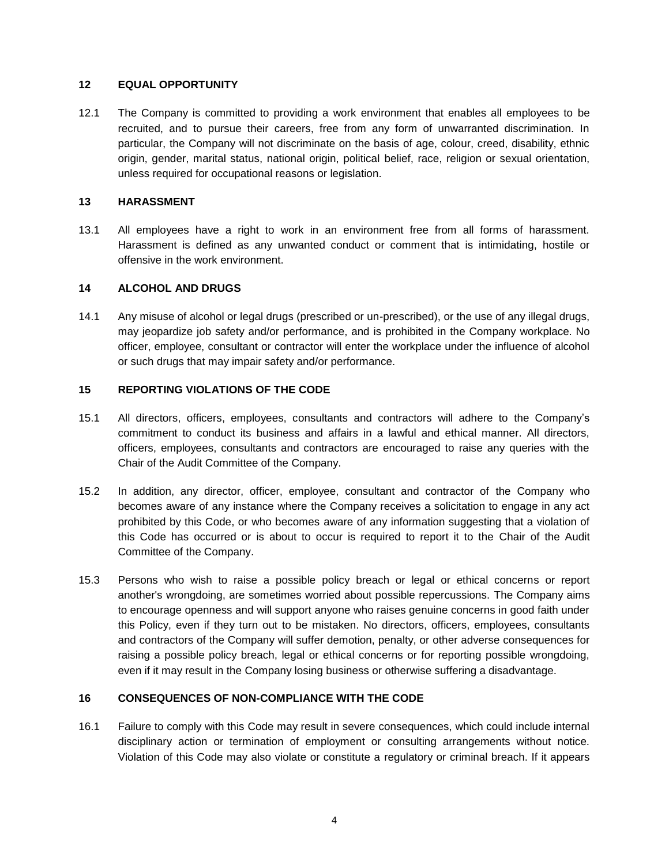#### **12 EQUAL OPPORTUNITY**

12.1 The Company is committed to providing a work environment that enables all employees to be recruited, and to pursue their careers, free from any form of unwarranted discrimination. In particular, the Company will not discriminate on the basis of age, colour, creed, disability, ethnic origin, gender, marital status, national origin, political belief, race, religion or sexual orientation, unless required for occupational reasons or legislation.

#### **13 HARASSMENT**

13.1 All employees have a right to work in an environment free from all forms of harassment. Harassment is defined as any unwanted conduct or comment that is intimidating, hostile or offensive in the work environment.

#### **14 ALCOHOL AND DRUGS**

14.1 Any misuse of alcohol or legal drugs (prescribed or un-prescribed), or the use of any illegal drugs, may jeopardize job safety and/or performance, and is prohibited in the Company workplace. No officer, employee, consultant or contractor will enter the workplace under the influence of alcohol or such drugs that may impair safety and/or performance.

#### **15 REPORTING VIOLATIONS OF THE CODE**

- 15.1 All directors, officers, employees, consultants and contractors will adhere to the Company's commitment to conduct its business and affairs in a lawful and ethical manner. All directors, officers, employees, consultants and contractors are encouraged to raise any queries with the Chair of the Audit Committee of the Company.
- 15.2 In addition, any director, officer, employee, consultant and contractor of the Company who becomes aware of any instance where the Company receives a solicitation to engage in any act prohibited by this Code, or who becomes aware of any information suggesting that a violation of this Code has occurred or is about to occur is required to report it to the Chair of the Audit Committee of the Company.
- 15.3 Persons who wish to raise a possible policy breach or legal or ethical concerns or report another's wrongdoing, are sometimes worried about possible repercussions. The Company aims to encourage openness and will support anyone who raises genuine concerns in good faith under this Policy, even if they turn out to be mistaken. No directors, officers, employees, consultants and contractors of the Company will suffer demotion, penalty, or other adverse consequences for raising a possible policy breach, legal or ethical concerns or for reporting possible wrongdoing, even if it may result in the Company losing business or otherwise suffering a disadvantage.

### **16 CONSEQUENCES OF NON-COMPLIANCE WITH THE CODE**

16.1 Failure to comply with this Code may result in severe consequences, which could include internal disciplinary action or termination of employment or consulting arrangements without notice. Violation of this Code may also violate or constitute a regulatory or criminal breach. If it appears